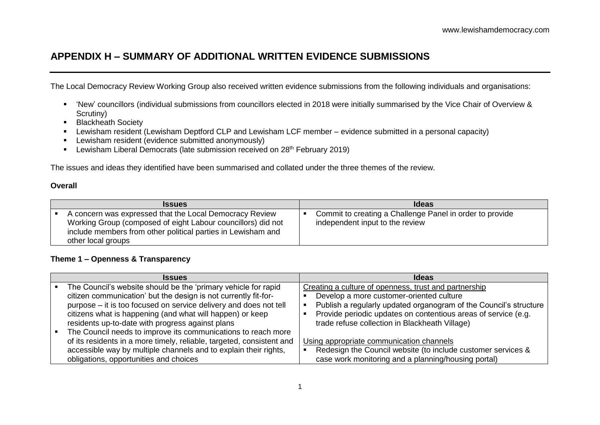# **APPENDIX H – SUMMARY OF ADDITIONAL WRITTEN EVIDENCE SUBMISSIONS**

The Local Democracy Review Working Group also received written evidence submissions from the following individuals and organisations:

- 'New' councillors (individual submissions from councillors elected in 2018 were initially summarised by the Vice Chair of Overview & Scrutiny)
- **Blackheath Society**
- Lewisham resident (Lewisham Deptford CLP and Lewisham LCF member evidence submitted in a personal capacity)
- **EXECT** Lewisham resident (evidence submitted anonymously)
- **Lewisham Liberal Democrats (late submission received on 28th February 2019)**

The issues and ideas they identified have been summarised and collated under the three themes of the review.

#### **Overall**

| <b>Issues</b>                                                                                                                                                                                                 | <b>Ideas</b>                                                                                |
|---------------------------------------------------------------------------------------------------------------------------------------------------------------------------------------------------------------|---------------------------------------------------------------------------------------------|
| A concern was expressed that the Local Democracy Review<br>Working Group (composed of eight Labour councillors) did not<br>include members from other political parties in Lewisham and<br>other local groups | Commit to creating a Challenge Panel in order to provide<br>independent input to the review |

#### **Theme 1 – Openness & Transparency**

| <b>Issues</b>                                                         | <b>Ideas</b>                                                      |
|-----------------------------------------------------------------------|-------------------------------------------------------------------|
| The Council's website should be the 'primary vehicle for rapid        | Creating a culture of openness, trust and partnership             |
| citizen communication' but the design is not currently fit-for-       | Develop a more customer-oriented culture                          |
| purpose – it is too focused on service delivery and does not tell     | Publish a regularly updated organogram of the Council's structure |
| citizens what is happening (and what will happen) or keep             | Provide periodic updates on contentious areas of service (e.g.    |
| residents up-to-date with progress against plans                      | trade refuse collection in Blackheath Village)                    |
| The Council needs to improve its communications to reach more         |                                                                   |
| of its residents in a more timely, reliable, targeted, consistent and | Using appropriate communication channels                          |
| accessible way by multiple channels and to explain their rights,      | Redesign the Council website (to include customer services &      |
| obligations, opportunities and choices                                | case work monitoring and a planning/housing portal)               |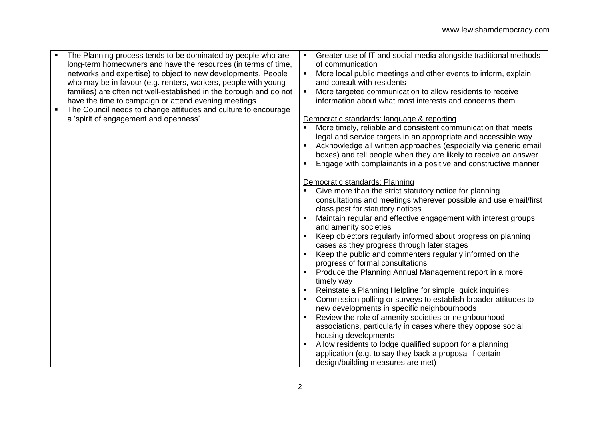- The Planning process tends to be dominated by people who are long-term homeowners and have the resources (in terms of time, networks and expertise) to object to new developments. People who may be in favour (e.g. renters, workers, people with young families) are often not well-established in the borough and do not have the time to campaign or attend evening meetings
- The Council needs to change attitudes and culture to encourage a 'spirit of engagement and openness'
- Greater use of IT and social media alongside traditional methods of communication
- **More local public meetings and other events to inform, explain** and consult with residents
- More targeted communication to allow residents to receive information about what most interests and concerns them

### Democratic standards: language & reporting

- More timely, reliable and consistent communication that meets legal and service targets in an appropriate and accessible way
- Acknowledge all written approaches (especially via generic email boxes) and tell people when they are likely to receive an answer
- Engage with complainants in a positive and constructive manner

### Democratic standards: Planning

- Give more than the strict statutory notice for planning consultations and meetings wherever possible and use email/first class post for statutory notices
- Maintain regular and effective engagement with interest groups and amenity societies
- Keep objectors regularly informed about progress on planning cases as they progress through later stages
- Keep the public and commenters regularly informed on the progress of formal consultations
- **Produce the Planning Annual Management report in a more** timely way
- Reinstate a Planning Helpline for simple, quick inquiries
- **Commission polling or surveys to establish broader attitudes to** new developments in specific neighbourhoods
- Review the role of amenity societies or neighbourhood associations, particularly in cases where they oppose social housing developments
- Allow residents to lodge qualified support for a planning application (e.g. to say they back a proposal if certain design/building measures are met)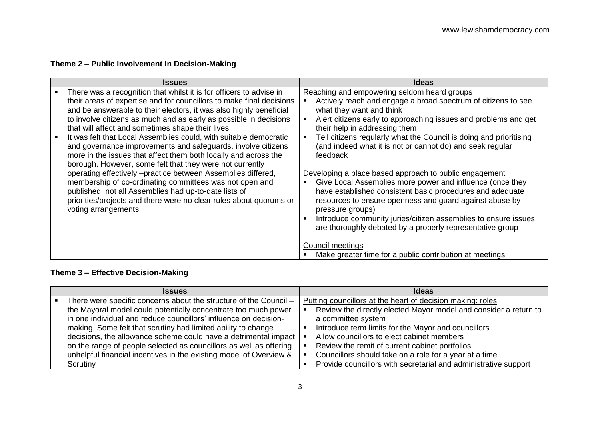## **Theme 2 – Public Involvement In Decision-Making**

| <b>Issues</b>                                                                                                                                                                                                                                                                                                                                                                                                                                                                                                                                                                                                  | <b>Ideas</b>                                                                                                                                                                                                                                                                                                                                                                                                                                                                  |
|----------------------------------------------------------------------------------------------------------------------------------------------------------------------------------------------------------------------------------------------------------------------------------------------------------------------------------------------------------------------------------------------------------------------------------------------------------------------------------------------------------------------------------------------------------------------------------------------------------------|-------------------------------------------------------------------------------------------------------------------------------------------------------------------------------------------------------------------------------------------------------------------------------------------------------------------------------------------------------------------------------------------------------------------------------------------------------------------------------|
| There was a recognition that whilst it is for officers to advise in<br>their areas of expertise and for councillors to make final decisions<br>and be answerable to their electors, it was also highly beneficial<br>to involve citizens as much and as early as possible in decisions<br>that will affect and sometimes shape their lives<br>It was felt that Local Assemblies could, with suitable democratic<br>and governance improvements and safeguards, involve citizens<br>more in the issues that affect them both locally and across the<br>borough. However, some felt that they were not currently | Reaching and empowering seldom heard groups<br>Actively reach and engage a broad spectrum of citizens to see<br>what they want and think<br>Alert citizens early to approaching issues and problems and get<br>their help in addressing them<br>Tell citizens regularly what the Council is doing and prioritising<br>(and indeed what it is not or cannot do) and seek regular<br>feedback                                                                                   |
| operating effectively -practice between Assemblies differed,<br>membership of co-ordinating committees was not open and<br>published, not all Assemblies had up-to-date lists of<br>priorities/projects and there were no clear rules about quorums or<br>voting arrangements                                                                                                                                                                                                                                                                                                                                  | Developing a place based approach to public engagement<br>Give Local Assemblies more power and influence (once they<br>have established consistent basic procedures and adequate<br>resources to ensure openness and guard against abuse by<br>pressure groups)<br>Introduce community juries/citizen assemblies to ensure issues<br>are thoroughly debated by a properly representative group<br>Council meetings<br>Make greater time for a public contribution at meetings |

# **Theme 3 – Effective Decision-Making**

| <b>Issues</b> |                                                                    | <b>Ideas</b> |                                                                  |
|---------------|--------------------------------------------------------------------|--------------|------------------------------------------------------------------|
|               | There were specific concerns about the structure of the Council -  |              | Putting councillors at the heart of decision making: roles       |
|               | the Mayoral model could potentially concentrate too much power     |              | Review the directly elected Mayor model and consider a return to |
|               | in one individual and reduce councillors' influence on decision-   |              | a committee system                                               |
|               | making. Some felt that scrutiny had limited ability to change      |              | Introduce term limits for the Mayor and councillors              |
|               | decisions, the allowance scheme could have a detrimental impact    |              | Allow councillors to elect cabinet members                       |
|               | on the range of people selected as councillors as well as offering |              | Review the remit of current cabinet portfolios                   |
|               | unhelpful financial incentives in the existing model of Overview & |              | Councillors should take on a role for a year at a time           |
|               | Scrutiny                                                           |              | Provide councillors with secretarial and administrative support  |